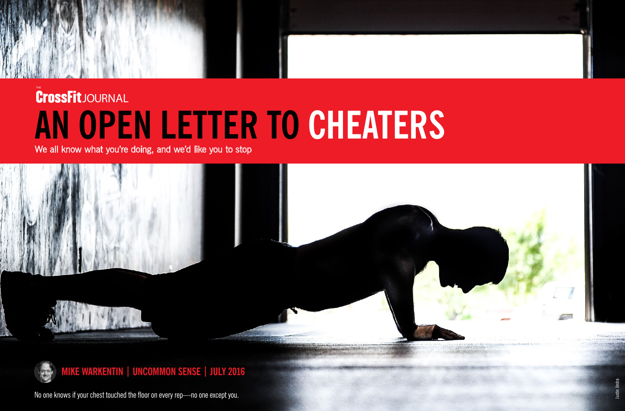No one knows if your chest touched the floor on every rep—no one except you.



## **THE** JOURNAL **AN OPEN LETTER TO CHEATERS**

We all know what you're doing, and we'd like you to stop





**MIKE WARKENTIN | UNCOMMON SENSE | JULY 2016**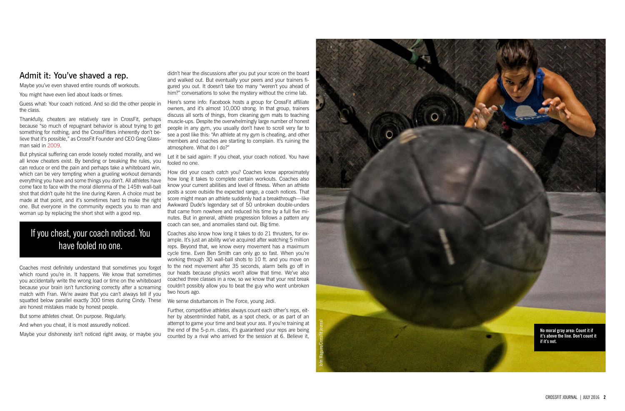didn't hear the discussions after you put your score on the board and walked out. But eventually your peers and your trainers fi gured you out. It doesn't take too many "weren't you ahead of him?" conversations to solve the mystery without the crime lab.

Here's some info: Facebook hosts a group for CrossFit affiliate owners, and it's almost 10,000 strong. In that group, trainers discuss all sorts of things, from cleaning gym mats to teaching muscle-ups. Despite the overwhelmingly large number of honest people in any gym, you usually don't have to scroll very far to see a post like this: "An athlete at my gym is cheating, and other members and coaches are starting to complain. It's ruining the atmosphere. What do I do?"

Let it be said again: If you cheat, your coach noticed. You have fooled no one.

How did your coach catch you? Coaches know approximately how long it takes to complete certain workouts. Coaches also know your current abilities and level of fitness. When an athlete posts a score outside the expected range, a coach notices. That score might mean an athlete suddenly had a breakthrough—like Awkward Dude's legendary set of 50 unbroken double-unders that came from nowhere and reduced his time by a full five mi nutes. But in general, athlete progression follows a pattern any coach can see, and anomalies stand out. Big time.

Coaches also know how long it takes to do 21 thrusters, for ex ample. It's just an ability we've acquired after watching 5 million reps. Beyond that, we know every movement has a maximum cycle time. Even Ben Smith can only go so fast. When you're working through 30 wall-ball shots to 10 ft. and you move on to the next movement after 35 seconds, alarm bells go off in our heads because physics won't allow that time. We've also coached three classes in a row, so we know that your rest break couldn't possibly allow you to beat the guy who went unbroken two hours ago.

We sense disturbances in The Force, young Jedi.

Further, competitive athletes always count each other's reps, eit her by absentminded habit, as a spot check, or as part of an attempt to game your time and beat your ass. If you're training at the end of the 5-p.m. class, it's guaranteed your reps are being counted by a rival who arrived for the session at 6. Believe it,

## Admit it: You've shaved a rep.

Maybe you've even shaved entire rounds off workouts.

You might have even lied about loads or times.

Guess what: Your coach noticed. And so did the other people in the class.

Thankfully, cheaters are relatively rare in CrossFit, perhaps because "so much of repugnant behavior is about trying to get something for nothing, and the CrossFitters inherently don't be lieve that it's possible," as CrossFit Founder and CEO Greg Glass man said in [2009](http://journal.crossfit.com/2009/08/primal-fitness.tpl) .

But physical suffering can erode loosely rooted morality, and we all know cheaters exist. By bending or breaking the rules, you can reduce or end the pain and perhaps take a whiteboard win, which can be very tempting when a grueling workout demands everything you have and some things you don't. All athletes have come face to face with the moral dilemma of the 145th wall-ball shot that didn't quite hit the line during Karen. A choice must be made at that point, and it's sometimes hard to make the right one. But everyone in the community expects you to man and woman up by replacing the short shot with a good rep.

Coaches most definitely understand that sometimes you forget which round you're in. It happens. We know that sometimes you accidentally write the wrong load or time on the whiteboard because your brain isn't functioning correctly after a screaming match with Fran. We're aware that you can't always tell if you squatted below parallel exactly 300 times during Cindy. These are honest mistakes made by honest people.

But some athletes cheat. On purpose. Regularly.

And when you cheat, it is most assuredly noticed.

Maybe your dishonesty isn't noticed right away, or maybe you



## If you cheat, your coach noticed. You have fooled no one.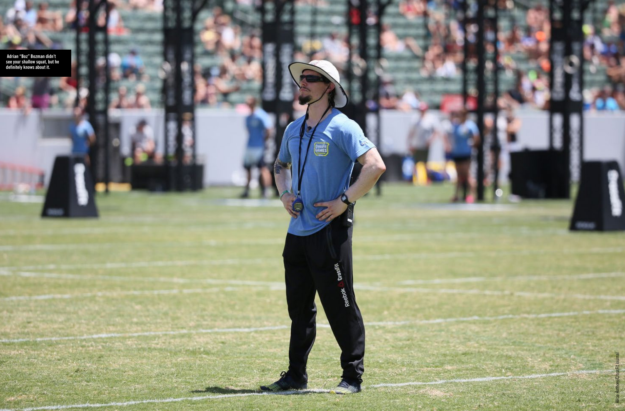

CrossFit<br>GAMES

Reebok brussilk

9

 **Adrian "Boz" Bozman didn't see your shallow squat, but he definitely knows about it.**